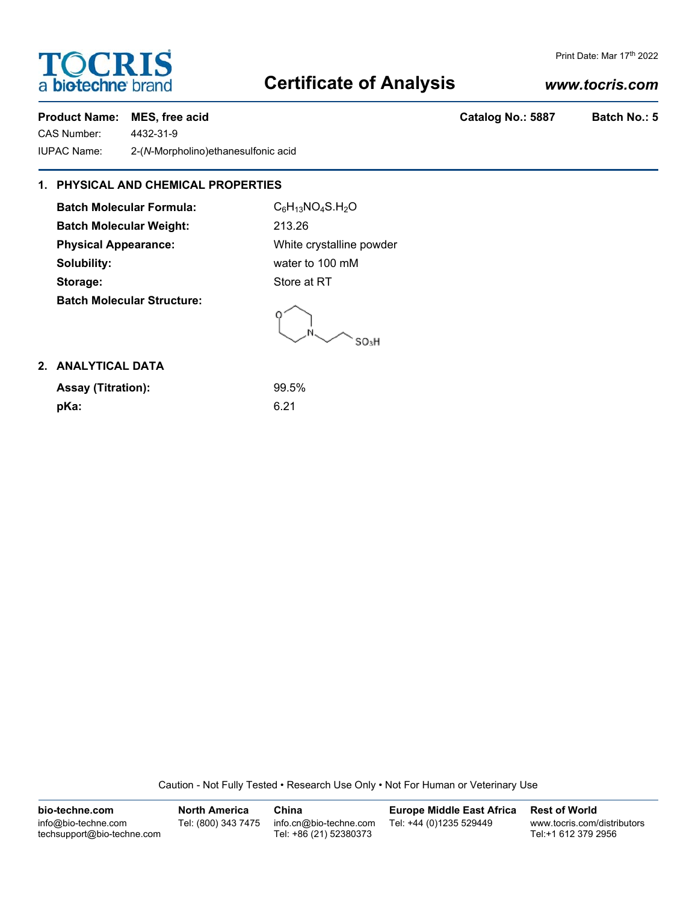# **TOCRIS** a biotechne brand

### Print Date: Mar 17th 2022

# **Certificate of Analysis**

## *www.tocris.com*

### Product Name: MES, free acid **Catalog No.: 5887** Batch No.: 5

CAS Number: 4432-31-9 IUPAC Name: 2-(*N*-Morpholino)ethanesulfonic acid

## **1. PHYSICAL AND CHEMICAL PROPERTIES**

Batch Molecular Formula: C<sub>6</sub>H<sub>13</sub>NO<sub>4</sub>S.H<sub>2</sub>O **Batch Molecular Weight:** 213.26 **Physical Appearance:** White crystalline powder **Solubility:** water to 100 mM **Storage:** Store at RT **Batch Molecular Structure:**

SO<sub>3</sub>H

## **2. ANALYTICAL DATA**

| <b>Assay (Titration):</b> | 99.5% |
|---------------------------|-------|
| pKa:                      | 6.21  |

Caution - Not Fully Tested • Research Use Only • Not For Human or Veterinary Use

| bio-techne.com                                    | <b>North America</b> | China                                            | <b>Europe Middle East Africa</b> | <b>Rest of World</b>                               |
|---------------------------------------------------|----------------------|--------------------------------------------------|----------------------------------|----------------------------------------------------|
| info@bio-techne.com<br>techsupport@bio-techne.com | Tel: (800) 343 7475  | info.cn@bio-techne.com<br>Tel: +86 (21) 52380373 | Tel: +44 (0)1235 529449          | www.tocris.com/distributors<br>Tel:+1 612 379 2956 |